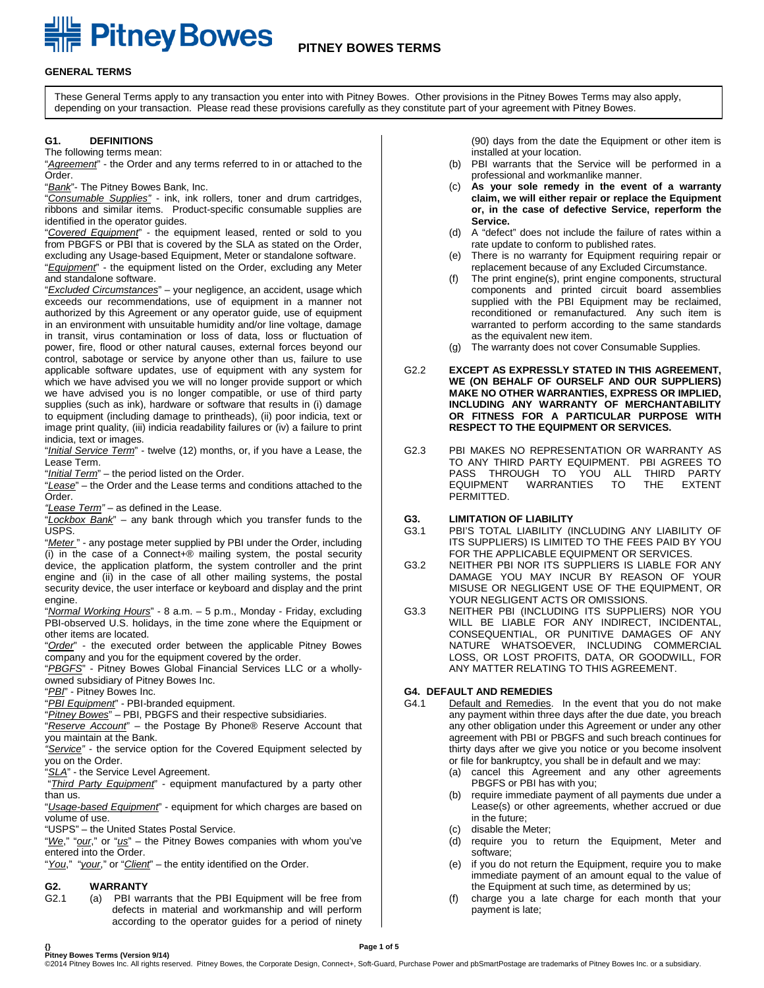# **EXAMPLE PITTICY BOWES PITNEY BOWES TERMS**

#### **GENERAL TERMS**

These General Terms apply to any transaction you enter into with Pitney Bowes. Other provisions in the Pitney Bowes Terms may also apply, depending on your transaction. Please read these provisions carefully as they constitute part of your agreement with Pitney Bowes.

#### **G1. DEFINITIONS**

The following terms mean:

"*Agreement*" - the Order and any terms referred to in or attached to the Order.

"*Bank*"- The Pitney Bowes Bank, Inc.

"*Consumable Supplies"* - ink, ink rollers, toner and drum cartridges, ribbons and similar items. Product-specific consumable supplies are identified in the operator guides.

"*Covered Equipment*" - the equipment leased, rented or sold to you from PBGFS or PBI that is covered by the SLA as stated on the Order, excluding any Usage-based Equipment, Meter or standalone software. "*Equipment*" - the equipment listed on the Order, excluding any Meter and standalone software.

"*Excluded Circumstances*" – your negligence, an accident, usage which exceeds our recommendations, use of equipment in a manner not authorized by this Agreement or any operator guide, use of equipment in an environment with unsuitable humidity and/or line voltage, damage in transit, virus contamination or loss of data, loss or fluctuation of power, fire, flood or other natural causes, external forces beyond our control, sabotage or service by anyone other than us, failure to use applicable software updates, use of equipment with any system for which we have advised you we will no longer provide support or which we have advised you is no longer compatible, or use of third party supplies (such as ink), hardware or software that results in (i) damage to equipment (including damage to printheads), (ii) poor indicia, text or image print quality, (iii) indicia readability failures or (iv) a failure to print indicia, text or images.

"*Initial Service Term*" - twelve (12) months, or, if you have a Lease, the Lease Term.

"*Initial Term*" – the period listed on the Order.

"*Lease*" – the Order and the Lease terms and conditions attached to the Order.

*"Lease Term"* – as defined in the Lease.

"*Lockbox Bank*" – any bank through which you transfer funds to the USPS.

"**Meter**" - any postage meter supplied by PBI under the Order, including (i) in the case of a Connect+® mailing system, the postal security device, the application platform, the system controller and the print engine and (ii) in the case of all other mailing systems, the postal security device, the user interface or keyboard and display and the print engine.

"*Normal Working Hours*" - 8 a.m. – 5 p.m., Monday - Friday, excluding PBI-observed U.S. holidays, in the time zone where the Equipment or other items are located.

"*Order*" - the executed order between the applicable Pitney Bowes company and you for the equipment covered by the order.

"*PBGFS*" - Pitney Bowes Global Financial Services LLC or a whollyowned subsidiary of Pitney Bowes Inc.

"*PBI*" - Pitney Bowes Inc.

"*PBI Equipment*" - PBI-branded equipment.

"*Pitney Bowes*" – PBI, PBGFS and their respective subsidiaries.

"*Reserve Account*" – the Postage By Phone® Reserve Account that you maintain at the Bank.

*"Service"* - the service option for the Covered Equipment selected by you on the Order.

"*SLA*" - the Service Level Agreement.

"*Third Party Equipment*" - equipment manufactured by a party other than us.

"*Usage-based Equipment*" - equipment for which charges are based on volume of use.

"USPS" – the United States Postal Service.

"*We*," "*our*," or "*us*" – the Pitney Bowes companies with whom you've entered into the Order.

"*You*," "*your*," or "*Client*" – the entity identified on the Order.

## **G2. WARRANTY**

(a) PBI warrants that the PBI Equipment will be free from defects in material and workmanship and will perform according to the operator guides for a period of ninety (90) days from the date the Equipment or other item is installed at your location.

- (b) PBI warrants that the Service will be performed in a professional and workmanlike manner.
- (c) **As your sole remedy in the event of a warranty claim, we will either repair or replace the Equipment or, in the case of defective Service, reperform the Service.**
- (d) A "defect" does not include the failure of rates within a rate update to conform to published rates.
- (e) There is no warranty for Equipment requiring repair or replacement because of any Excluded Circumstance.
- (f) The print engine(s), print engine components, structural components and printed circuit board assemblies supplied with the PBI Equipment may be reclaimed, reconditioned or remanufactured. Any such item is warranted to perform according to the same standards as the equivalent new item.
- (g) The warranty does not cover Consumable Supplies.
- G2.2 **EXCEPT AS EXPRESSLY STATED IN THIS AGREEMENT, WE (ON BEHALF OF OURSELF AND OUR SUPPLIERS) MAKE NO OTHER WARRANTIES, EXPRESS OR IMPLIED, INCLUDING ANY WARRANTY OF MERCHANTABILITY OR FITNESS FOR A PARTICULAR PURPOSE WITH RESPECT TO THE EQUIPMENT OR SERVICES.**
- G2.3 PBI MAKES NO REPRESENTATION OR WARRANTY AS TO ANY THIRD PARTY EQUIPMENT. PBI AGREES TO PASS THROUGH TO YOU ALL THIRD PARTY<br>EQUIPMENT WARRANTIES TO THE EXTENT WARRANTIES PERMITTED.
- **G3. LIMITATION OF LIABILITY**
- PBI'S TOTAL LIABILITY (INCLUDING ANY LIABILITY OF ITS SUPPLIERS) IS LIMITED TO THE FEES PAID BY YOU FOR THE APPLICABLE EQUIPMENT OR SERVICES.
- G3.2 NEITHER PBI NOR ITS SUPPLIERS IS LIABLE FOR ANY DAMAGE YOU MAY INCUR BY REASON OF YOUR MISUSE OR NEGLIGENT USE OF THE EQUIPMENT, OR YOUR NEGLIGENT ACTS OR OMISSIONS.
- G3.3 NEITHER PBI (INCLUDING ITS SUPPLIERS) NOR YOU WILL BE LIABLE FOR ANY INDIRECT, INCIDENTAL, CONSEQUENTIAL, OR PUNITIVE DAMAGES OF ANY NATURE WHATSOEVER, INCLUDING COMMERCIAL LOSS, OR LOST PROFITS, DATA, OR GOODWILL, FOR ANY MATTER RELATING TO THIS AGREEMENT.

#### **G4. DEFAULT AND REMEDIES**

- G4.1 Default and Remedies. In the event that you do not make any payment within three days after the due date, you breach any other obligation under this Agreement or under any other agreement with PBI or PBGFS and such breach continues for thirty days after we give you notice or you become insolvent or file for bankruptcy, you shall be in default and we may:
	- (a) cancel this Agreement and any other agreements PBGFS or PBI has with you;
	- (b) require immediate payment of all payments due under a Lease(s) or other agreements, whether accrued or due in the future;
	- (c) disable the Meter;
	- (d) require you to return the Equipment, Meter and software;
	- (e) if you do not return the Equipment, require you to make immediate payment of an amount equal to the value of the Equipment at such time, as determined by us;
	- (f) charge you a late charge for each month that your payment is late;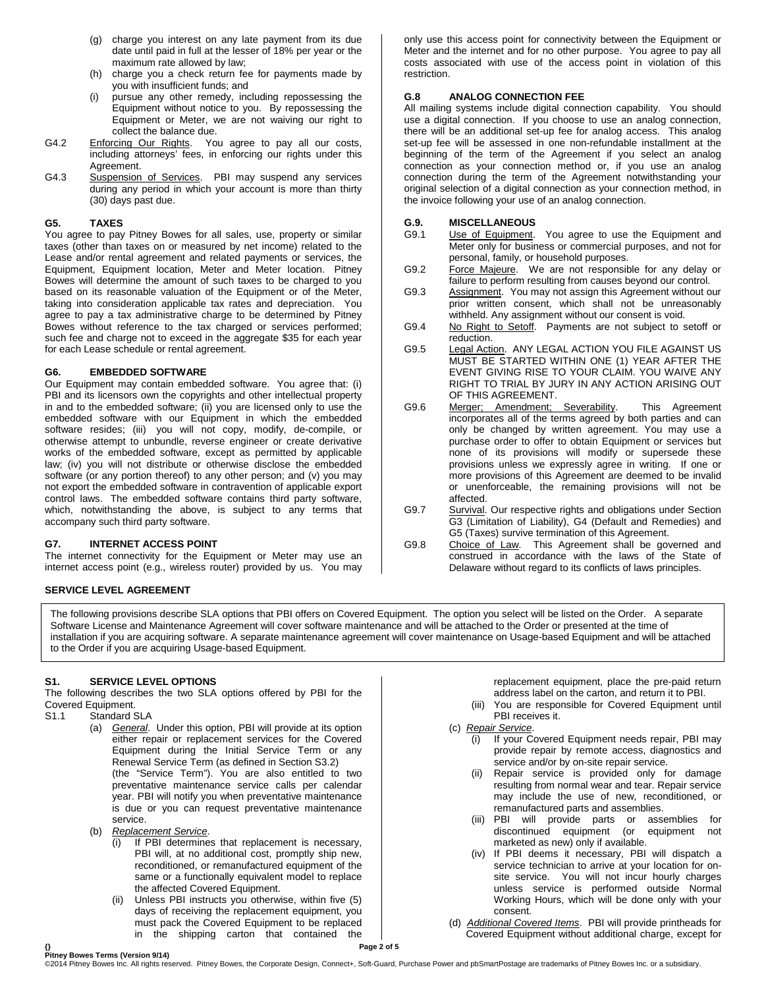- (g) charge you interest on any late payment from its due date until paid in full at the lesser of 18% per year or the maximum rate allowed by law;
- (h) charge you a check return fee for payments made by you with insufficient funds; and
- pursue any other remedy, including repossessing the Equipment without notice to you. By repossessing the Equipment or Meter, we are not waiving our right to collect the balance due.
- G4.2 Enforcing Our Rights. You agree to pay all our costs, including attorneys' fees, in enforcing our rights under this Agreement.
- G4.3 Suspension of Services. PBI may suspend any services during any period in which your account is more than thirty (30) days past due.

#### **G5. TAXES**

You agree to pay Pitney Bowes for all sales, use, property or similar taxes (other than taxes on or measured by net income) related to the Lease and/or rental agreement and related payments or services, the Equipment, Equipment location, Meter and Meter location. Pitney Bowes will determine the amount of such taxes to be charged to you based on its reasonable valuation of the Equipment or of the Meter, taking into consideration applicable tax rates and depreciation. You agree to pay a tax administrative charge to be determined by Pitney Bowes without reference to the tax charged or services performed; such fee and charge not to exceed in the aggregate \$35 for each year for each Lease schedule or rental agreement.

#### **G6. EMBEDDED SOFTWARE**

Our Equipment may contain embedded software. You agree that: (i) PBI and its licensors own the copyrights and other intellectual property in and to the embedded software; (ii) you are licensed only to use the embedded software with our Equipment in which the embedded software resides; (iii) you will not copy, modify, de-compile, or otherwise attempt to unbundle, reverse engineer or create derivative works of the embedded software, except as permitted by applicable law; (iv) you will not distribute or otherwise disclose the embedded software (or any portion thereof) to any other person; and (v) you may not export the embedded software in contravention of applicable export control laws. The embedded software contains third party software, which, notwithstanding the above, is subject to any terms that accompany such third party software.

#### **G7. INTERNET ACCESS POINT**

The internet connectivity for the Equipment or Meter may use an internet access point (e.g., wireless router) provided by us. You may

#### **SERVICE LEVEL AGREEMENT**

The following provisions describe SLA options that PBI offers on Covered Equipment. The option you select will be listed on the Order. A separate Software License and Maintenance Agreement will cover software maintenance and will be attached to the Order or presented at the time of installation if you are acquiring software. A separate maintenance agreement will cover maintenance on Usage-based Equipment and will be attached to the Order if you are acquiring Usage-based Equipment.

#### **S1. SERVICE LEVEL OPTIONS**

The following describes the two SLA options offered by PBI for the Covered Equipment.<br>S1.1 Standard S

- Standard SLA
	- (a) *General*. Under this option, PBI will provide at its option either repair or replacement services for the Covered Equipment during the Initial Service Term or any Renewal Service Term (as defined in Section S3.2) (the "Service Term"). You are also entitled to two preventative maintenance service calls per calendar year. PBI will notify you when preventative maintenance is due or you can request preventative maintenance service.
	- (b) *Replacement Service*.
		- (i) If PBI determines that replacement is necessary, PBI will, at no additional cost, promptly ship new, reconditioned, or remanufactured equipment of the same or a functionally equivalent model to replace the affected Covered Equipment.
		- (ii) Unless PBI instructs you otherwise, within five (5) days of receiving the replacement equipment, you must pack the Covered Equipment to be replaced in the shipping carton that contained the

only use this access point for connectivity between the Equipment or Meter and the internet and for no other purpose. You agree to pay all costs associated with use of the access point in violation of this restriction.

### **G.8 ANALOG CONNECTION FEE**

All mailing systems include digital connection capability. You should use a digital connection. If you choose to use an analog connection, there will be an additional set-up fee for analog access. This analog set-up fee will be assessed in one non-refundable installment at the beginning of the term of the Agreement if you select an analog connection as your connection method or, if you use an analog connection during the term of the Agreement notwithstanding your original selection of a digital connection as your connection method, in the invoice following your use of an analog connection.

#### **G.9. MISCELLANEOUS**

- G9.1 Use of Equipment. You agree to use the Equipment and Meter only for business or commercial purposes, and not for personal, family, or household purposes.
- G9.2 Force Majeure. We are not responsible for any delay or failure to perform resulting from causes beyond our control.
- G9.3 Assignment. You may not assign this Agreement without our prior written consent, which shall not be unreasonably withheld. Any assignment without our consent is void.
- G9.4 No Right to Setoff. Payments are not subject to setoff or reduction.
- G9.5 Legal Action. ANY LEGAL ACTION YOU FILE AGAINST US MUST BE STARTED WITHIN ONE (1) YEAR AFTER THE EVENT GIVING RISE TO YOUR CLAIM. YOU WAIVE ANY RIGHT TO TRIAL BY JURY IN ANY ACTION ARISING OUT OF THIS AGREEMENT.
- G9.6 Merger; Amendment; Severability. This Agreement incorporates all of the terms agreed by both parties and can only be changed by written agreement. You may use a purchase order to offer to obtain Equipment or services but none of its provisions will modify or supersede these provisions unless we expressly agree in writing. If one or more provisions of this Agreement are deemed to be invalid or unenforceable, the remaining provisions will not be affected.
- G9.7 Survival. Our respective rights and obligations under Section G3 (Limitation of Liability), G4 (Default and Remedies) and G5 (Taxes) survive termination of this Agreement.
- G9.8 Choice of Law. This Agreement shall be governed and construed in accordance with the laws of the State of Delaware without regard to its conflicts of laws principles.

replacement equipment, place the pre-paid return address label on the carton, and return it to PBI.

- (iii) You are responsible for Covered Equipment until PBI receives it.
- (c) *Repair Service*.
	- (i) If your Covered Equipment needs repair, PBI may provide repair by remote access, diagnostics and service and/or by on-site repair service.
	- (ii) Repair service is provided only for damage resulting from normal wear and tear. Repair service may include the use of new, reconditioned, or remanufactured parts and assemblies.
	- (iii) PBI will provide parts or assemblies for discontinued equipment (or equipment not marketed as new) only if available.
	- (iv) If PBI deems it necessary, PBI will dispatch a service technician to arrive at your location for onsite service. You will not incur hourly charges unless service is performed outside Normal Working Hours, which will be done only with your consent.
- (d) *Additional Covered Items*. PBI will provide printheads for Covered Equipment without additional charge, except for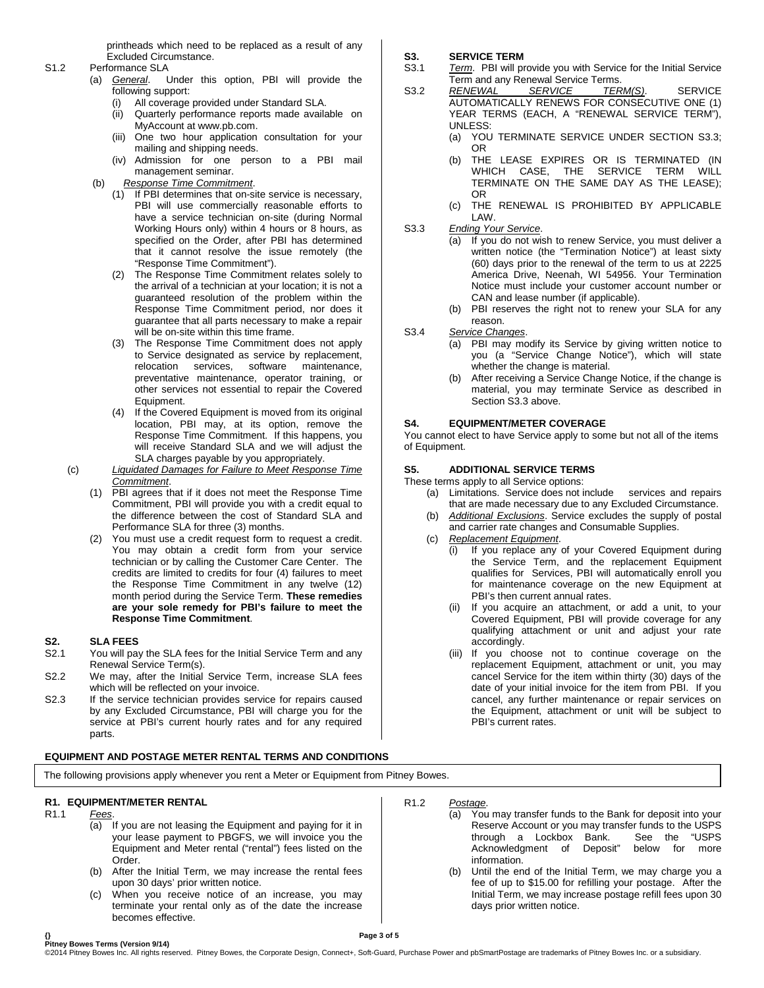printheads which need to be replaced as a result of any Excluded Circumstance.

- S1.2 Performance SLA
	- (a) *General*. Under this option, PBI will provide the following support:
		- (i) All coverage provided under Standard SLA.
		- (ii) Quarterly performance reports made available on MyAccount at [www.pb.com.](http://www.pb.com/)
		- (iii) One two hour application consultation for your mailing and shipping needs.
		- (iv) Admission for one person to a PBI mail management seminar.
	- (b) *Response Time Commitment*.
		- (1) If PBI determines that on-site service is necessary, PBI will use commercially reasonable efforts to have a service technician on-site (during Normal Working Hours only) within 4 hours or 8 hours, as specified on the Order, after PBI has determined that it cannot resolve the issue remotely (the "Response Time Commitment").
		- (2) The Response Time Commitment relates solely to the arrival of a technician at your location; it is not a guaranteed resolution of the problem within the Response Time Commitment period, nor does it guarantee that all parts necessary to make a repair will be on-site within this time frame.
		- (3) The Response Time Commitment does not apply to Service designated as service by replacement, relocation services, software maintenance, preventative maintenance, operator training, or other services not essential to repair the Covered Equipment.
		- (4) If the Covered Equipment is moved from its original location, PBI may, at its option, remove the Response Time Commitment. If this happens, you will receive Standard SLA and we will adjust the SLA charges payable by you appropriately.
	- (c) *Liquidated Damages for Failure to Meet Response Time Commitment*.
		- (1) PBI agrees that if it does not meet the Response Time Commitment, PBI will provide you with a credit equal to the difference between the cost of Standard SLA and Performance SLA for three (3) months.
		- (2) You must use a credit request form to request a credit. You may obtain a credit form from your service technician or by calling the Customer Care Center. The credits are limited to credits for four (4) failures to meet the Response Time Commitment in any twelve (12) month period during the Service Term. **These remedies are your sole remedy for PBI's failure to meet the Response Time Commitment**.

## **S2. SLA FEES**

- You will pay the SLA fees for the Initial Service Term and any Renewal Service Term(s).
- S2.2 We may, after the Initial Service Term, increase SLA fees which will be reflected on your invoice.
- S2.3 If the service technician provides service for repairs caused by any Excluded Circumstance, PBI will charge you for the service at PBI's current hourly rates and for any required parts.

#### **EQUIPMENT AND POSTAGE METER RENTAL TERMS AND CONDITIONS**

The following provisions apply whenever you rent a Meter or Equipment from Pitney Bowes.

## **R1. EQUIPMENT/METER RENTAL**

- R1.1 *Fees*.
	- (a) If you are not leasing the Equipment and paying for it in your lease payment to PBGFS, we will invoice you the Equipment and Meter rental ("rental") fees listed on the Order.
	- (b) After the Initial Term, we may increase the rental fees upon 30 days' prior written notice.
	- (c) When you receive notice of an increase, you may terminate your rental only as of the date the increase becomes effective.

# **S3. SERVICE TERM**

- Term. PBI will provide you with Service for the Initial Service Term and any Renewal Service Terms.
- S3.2 *RENEWAL SERVICE TERM(S)*. SERVICE AUTOMATICALLY RENEWS FOR CONSECUTIVE ONE (1) YEAR TERMS (EACH, A "RENEWAL SERVICE TERM"), UNLESS:
	- (a) YOU TERMINATE SERVICE UNDER SECTION S3.3; OR
	- (b) THE LEASE EXPIRES OR IS TERMINATED (IN WHICH CASE, THE SERVICE TERM WILL TERMINATE ON THE SAME DAY AS THE LEASE); OR
	- (c) THE RENEWAL IS PROHIBITED BY APPLICABLE LAW.
- S3.3 *Ending Your Service*.
	- (a) If you do not wish to renew Service, you must deliver a written notice (the "Termination Notice") at least sixty (60) days prior to the renewal of the term to us at 2225 America Drive, Neenah, WI 54956. Your Termination Notice must include your customer account number or CAN and lease number (if applicable).
		- (b) PBI reserves the right not to renew your SLA for any reason.
- S3.4 *Service Changes*.
	- (a) PBI may modify its Service by giving written notice to you (a "Service Change Notice"), which will state whether the change is material.
	- After receiving a Service Change Notice, if the change is material, you may terminate Service as described in Section S3.3 above.

#### **S4. EQUIPMENT/METER COVERAGE**

You cannot elect to have Service apply to some but not all of the items of Equipment.

#### **S5. ADDITIONAL SERVICE TERMS**

These terms apply to all Service options:

- (a) Limitations. Service does not include services and repairs that are made necessary due to any Excluded Circumstance.
- (b) *Additional Exclusions*. Service excludes the supply of postal and carrier rate changes and Consumable Supplies.
- (c) *Replacement Equipment*.
	- (i) If you replace any of your Covered Equipment during the Service Term, and the replacement Equipment qualifies for Services, PBI will automatically enroll you for maintenance coverage on the new Equipment at PBI's then current annual rates.
	- (ii) If you acquire an attachment, or add a unit, to your Covered Equipment, PBI will provide coverage for any qualifying attachment or unit and adjust your rate accordingly.
	- (iii) If you choose not to continue coverage on the replacement Equipment, attachment or unit, you may cancel Service for the item within thirty (30) days of the date of your initial invoice for the item from PBI. If you cancel, any further maintenance or repair services on the Equipment, attachment or unit will be subject to PBI's current rates.
- R1.2 *Postage*.
	- (a) You may transfer funds to the Bank for deposit into your Reserve Account or you may transfer funds to the USPS<br>through a Lockbox Bank. See the "USPS through a Lockbox Bank. See the<br>Acknowledgment of Deposit" below for Acknowledgment of Deposit" below for more information.
	- (b) Until the end of the Initial Term, we may charge you a fee of up to \$15.00 for refilling your postage. After the Initial Term, we may increase postage refill fees upon 30 days prior written notice.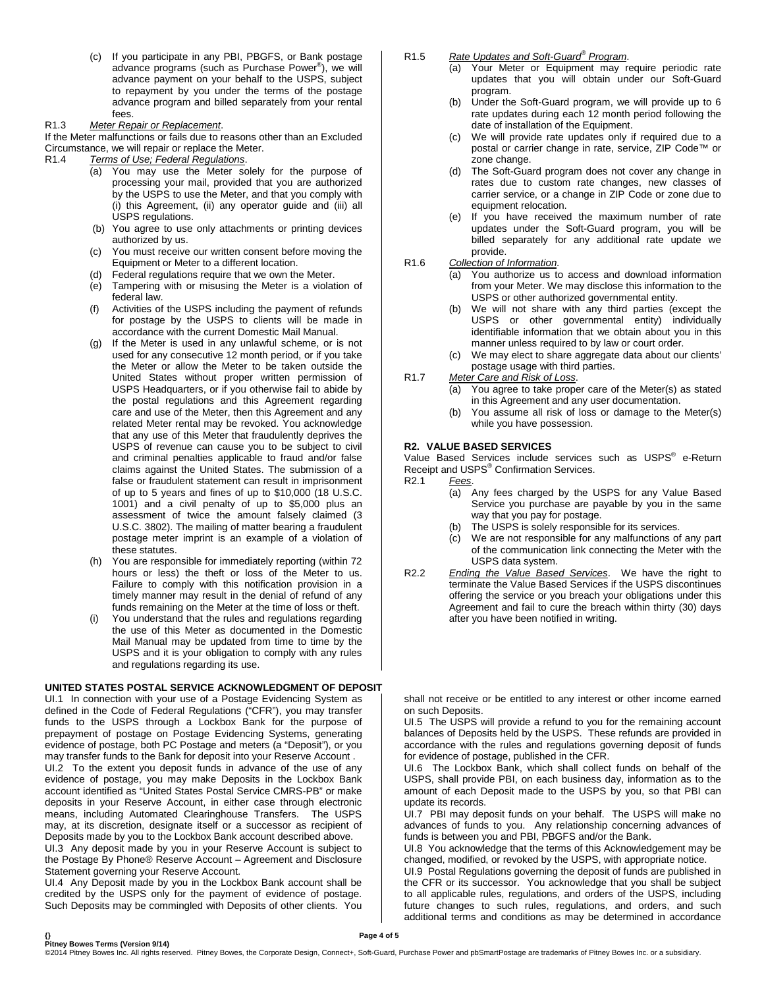(c) If you participate in any PBI, PBGFS, or Bank postage advance programs (such as Purchase Power® ), we will advance payment on your behalf to the USPS, subject to repayment by you under the terms of the postage advance program and billed separately from your rental fees.

#### R1.3 *Meter Repair or Replacement*.

If the Meter malfunctions or fails due to reasons other than an Excluded Circumstance, we will repair or replace the Meter.

#### R1.4 *Terms of Use; Federal Regulations*.

- (a) You may use the Meter solely for the purpose of processing your mail, provided that you are authorized by the USPS to use the Meter, and that you comply with (i) this Agreement, (ii) any operator guide and (iii) all USPS regulations.
- (b) You agree to use only attachments or printing devices authorized by us.
- (c) You must receive our written consent before moving the Equipment or Meter to a different location.
- (d) Federal regulations require that we own the Meter.
- (e) Tampering with or misusing the Meter is a violation of federal law.
- (f) Activities of the USPS including the payment of refunds for postage by the USPS to clients will be made in accordance with the current Domestic Mail Manual.
- (g) If the Meter is used in any unlawful scheme, or is not used for any consecutive 12 month period, or if you take the Meter or allow the Meter to be taken outside the United States without proper written permission of USPS Headquarters, or if you otherwise fail to abide by the postal regulations and this Agreement regarding care and use of the Meter, then this Agreement and any related Meter rental may be revoked. You acknowledge that any use of this Meter that fraudulently deprives the USPS of revenue can cause you to be subject to civil and criminal penalties applicable to fraud and/or false claims against the United States. The submission of a false or fraudulent statement can result in imprisonment of up to 5 years and fines of up to \$10,000 (18 U.S.C. 1001) and a civil penalty of up to \$5,000 plus an assessment of twice the amount falsely claimed (3 U.S.C. 3802). The mailing of matter bearing a fraudulent postage meter imprint is an example of a violation of these statutes.
- (h) You are responsible for immediately reporting (within 72 hours or less) the theft or loss of the Meter to us. Failure to comply with this notification provision in a timely manner may result in the denial of refund of any funds remaining on the Meter at the time of loss or theft.
- You understand that the rules and regulations regarding the use of this Meter as documented in the Domestic Mail Manual may be updated from time to time by the USPS and it is your obligation to comply with any rules and regulations regarding its use.

#### **UNITED STATES POSTAL SERVICE ACKNOWLEDGMENT OF DEPOSIT**

UI.1 In connection with your use of a Postage Evidencing System as defined in the Code of Federal Regulations ("CFR"), you may transfer funds to the USPS through a Lockbox Bank for the purpose of prepayment of postage on Postage Evidencing Systems, generating evidence of postage, both PC Postage and meters (a "Deposit"), or you may transfer funds to the Bank for deposit into your Reserve Account . UI.2 To the extent you deposit funds in advance of the use of any

evidence of postage, you may make Deposits in the Lockbox Bank account identified as "United States Postal Service CMRS-PB" or make deposits in your Reserve Account, in either case through electronic means, including Automated Clearinghouse Transfers. The USPS may, at its discretion, designate itself or a successor as recipient of Deposits made by you to the Lockbox Bank account described above. UI.3 Any deposit made by you in your Reserve Account is subject to the Postage By Phone® Reserve Account – Agreement and Disclosure

Statement governing your Reserve Account. UI.4 Any Deposit made by you in the Lockbox Bank account shall be credited by the USPS only for the payment of evidence of postage. Such Deposits may be commingled with Deposits of other clients. You

#### R1.5 *Rate Updates and Soft-Guard® Program*.

- (a) Your Meter or Equipment may require periodic rate updates that you will obtain under our Soft-Guard program.
- (b) Under the Soft-Guard program, we will provide up to 6 rate updates during each 12 month period following the date of installation of the Equipment.
- (c) We will provide rate updates only if required due to a postal or carrier change in rate, service, ZIP Code™ or zone change.
- (d) The Soft-Guard program does not cover any change in rates due to custom rate changes, new classes of carrier service, or a change in ZIP Code or zone due to equipment relocation.
- (e) If you have received the maximum number of rate updates under the Soft-Guard program, you will be billed separately for any additional rate update we provide.
- R1.6 *Collection of Information*.
	- (a) You authorize us to access and download information from your Meter. We may disclose this information to the USPS or other authorized governmental entity.
	- (b) We will not share with any third parties (except the USPS or other governmental entity) individually identifiable information that we obtain about you in this manner unless required to by law or court order.
	- (c) We may elect to share aggregate data about our clients' postage usage with third parties.
- R1.7 *Meter Care and Risk of Loss*.
	- (a) You agree to take proper care of the Meter(s) as stated in this Agreement and any user documentation.
	- (b) You assume all risk of loss or damage to the Meter(s) while you have possession.

## **R2. VALUE BASED SERVICES**

Value Based Services include services such as USPS<sup>®</sup> e-Return Receipt and USPS<sup>®</sup> Confirmation Services.<br>R2.1 Fees. Fees.

- (a) Any fees charged by the USPS for any Value Based Service you purchase are payable by you in the same way that you pay for postage.
- (b) The USPS is solely responsible for its services.
- (c) We are not responsible for any malfunctions of any part of the communication link connecting the Meter with the USPS data system.
- R2.2 *Ending the Value Based Services*. We have the right to terminate the Value Based Services if the USPS discontinues offering the service or you breach your obligations under this Agreement and fail to cure the breach within thirty (30) days after you have been notified in writing.

shall not receive or be entitled to any interest or other income earned on such Deposits.

UI.5 The USPS will provide a refund to you for the remaining account balances of Deposits held by the USPS. These refunds are provided in accordance with the rules and regulations governing deposit of funds for evidence of postage, published in the CFR.

UI.6 The Lockbox Bank, which shall collect funds on behalf of the USPS, shall provide PBI, on each business day, information as to the amount of each Deposit made to the USPS by you, so that PBI can update its records.

UI.7 PBI may deposit funds on your behalf. The USPS will make no advances of funds to you. Any relationship concerning advances of funds is between you and PBI, PBGFS and/or the Bank.

UI.8 You acknowledge that the terms of this Acknowledgement may be changed, modified, or revoked by the USPS, with appropriate notice.

UI.9 Postal Regulations governing the deposit of funds are published in the CFR or its successor. You acknowledge that you shall be subject to all applicable rules, regulations, and orders of the USPS, including future changes to such rules, regulations, and orders, and such additional terms and conditions as may be determined in accordance

**{} Page 4 of 5 Pitney Bowes Terms (Version 9/14)**